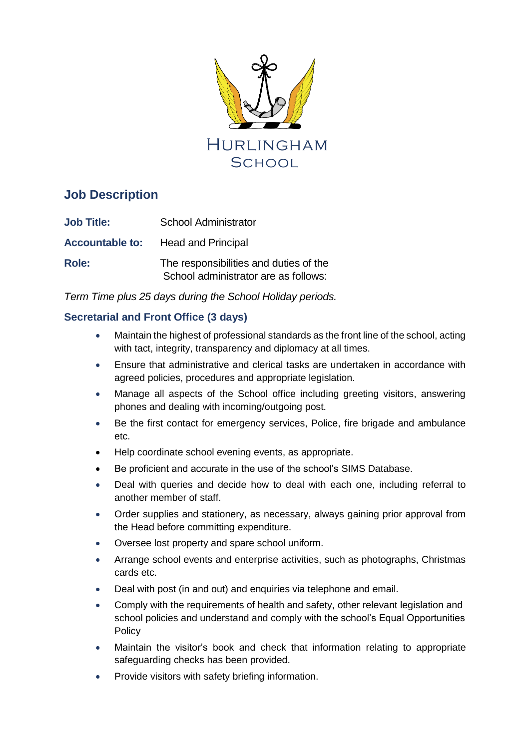

# **Job Description**

| <b>Job Title:</b> | School Administrator                                                           |
|-------------------|--------------------------------------------------------------------------------|
|                   | <b>Accountable to:</b> Head and Principal                                      |
| <b>Role:</b>      | The responsibilities and duties of the<br>School administrator are as follows: |

*Term Time plus 25 days during the School Holiday periods.* 

# **Secretarial and Front Office (3 days)**

- Maintain the highest of professional standards as the front line of the school, acting with tact, integrity, transparency and diplomacy at all times.
- Ensure that administrative and clerical tasks are undertaken in accordance with agreed policies, procedures and appropriate legislation.
- Manage all aspects of the School office including greeting visitors, answering phones and dealing with incoming/outgoing post.
- Be the first contact for emergency services, Police, fire brigade and ambulance etc.
- Help coordinate school evening events, as appropriate.
- Be proficient and accurate in the use of the school's SIMS Database.
- Deal with queries and decide how to deal with each one, including referral to another member of staff.
- Order supplies and stationery, as necessary, always gaining prior approval from the Head before committing expenditure.
- Oversee lost property and spare school uniform.
- Arrange school events and enterprise activities, such as photographs, Christmas cards etc.
- Deal with post (in and out) and enquiries via telephone and email.
- Comply with the requirements of health and safety, other relevant legislation and school policies and understand and comply with the school's Equal Opportunities **Policy**
- Maintain the visitor's book and check that information relating to appropriate safeguarding checks has been provided.
- Provide visitors with safety briefing information.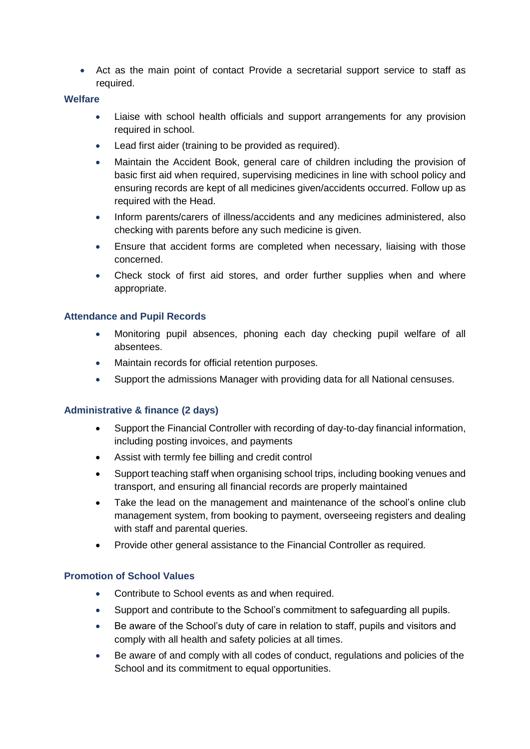• Act as the main point of contact Provide a secretarial support service to staff as required.

#### **Welfare**

- Liaise with school health officials and support arrangements for any provision required in school.
- Lead first aider (training to be provided as required).
- Maintain the Accident Book, general care of children including the provision of basic first aid when required, supervising medicines in line with school policy and ensuring records are kept of all medicines given/accidents occurred. Follow up as required with the Head.
- Inform parents/carers of illness/accidents and any medicines administered, also checking with parents before any such medicine is given.
- Ensure that accident forms are completed when necessary, liaising with those concerned.
- Check stock of first aid stores, and order further supplies when and where appropriate.

## **Attendance and Pupil Records**

- Monitoring pupil absences, phoning each day checking pupil welfare of all absentees.
- Maintain records for official retention purposes.
- Support the admissions Manager with providing data for all National censuses.

## **Administrative & finance (2 days)**

- Support the Financial Controller with recording of day-to-day financial information, including posting invoices, and payments
- Assist with termly fee billing and credit control
- Support teaching staff when organising school trips, including booking venues and transport, and ensuring all financial records are properly maintained
- Take the lead on the management and maintenance of the school's online club management system, from booking to payment, overseeing registers and dealing with staff and parental queries.
- Provide other general assistance to the Financial Controller as required.

## **Promotion of School Values**

- Contribute to School events as and when required.
- Support and contribute to the School's commitment to safeguarding all pupils.
- Be aware of the School's duty of care in relation to staff, pupils and visitors and comply with all health and safety policies at all times.
- Be aware of and comply with all codes of conduct, regulations and policies of the School and its commitment to equal opportunities.